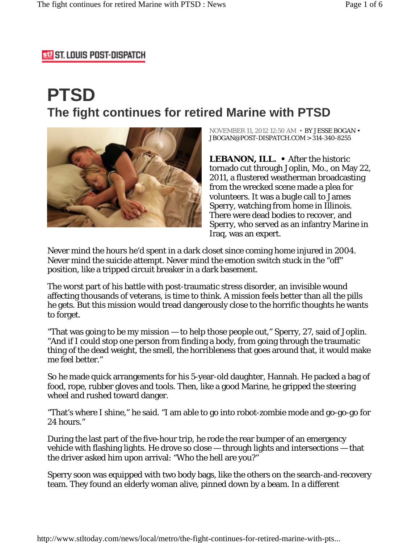## **53 ST. LOUIS POST-DISPATCH**

# **PTSD The fight continues for retired Marine with PTSD**



NOVEMBER 11, 2012 12:50 AM • BY JESSE BOGAN • JBOGAN@POST-DISPATCH.COM > 314-340-8255

**LEBANON, ILL. •** After the historic tornado cut through Joplin, Mo., on May 22, 2011, a flustered weatherman broadcasting from the wrecked scene made a plea for volunteers. It was a bugle call to James Sperry, watching from home in Illinois. There were dead bodies to recover, and Sperry, who served as an infantry Marine in Iraq, was an expert.

Never mind the hours he'd spent in a dark closet since coming home injured in 2004. Never mind the suicide attempt. Never mind the emotion switch stuck in the "off" position, like a tripped circuit breaker in a dark basement.

The worst part of his battle with post-traumatic stress disorder, an invisible wound affecting thousands of veterans, is time to think. A mission feels better than all the pills he gets. But this mission would tread dangerously close to the horrific thoughts he wants to forget.

"That was going to be my mission — to help those people out," Sperry, 27, said of Joplin. "And if I could stop one person from finding a body, from going through the traumatic thing of the dead weight, the smell, the horribleness that goes around that, it would make me feel better."

So he made quick arrangements for his 5-year-old daughter, Hannah. He packed a bag of food, rope, rubber gloves and tools. Then, like a good Marine, he gripped the steering wheel and rushed toward danger.

"That's where I shine," he said. "I am able to go into robot-zombie mode and go-go-go for 24 hours."

During the last part of the five-hour trip, he rode the rear bumper of an emergency vehicle with flashing lights. He drove so close — through lights and intersections — that the driver asked him upon arrival: "Who the hell are you?"

Sperry soon was equipped with two body bags, like the others on the search-and-recovery team. They found an elderly woman alive, pinned down by a beam. In a different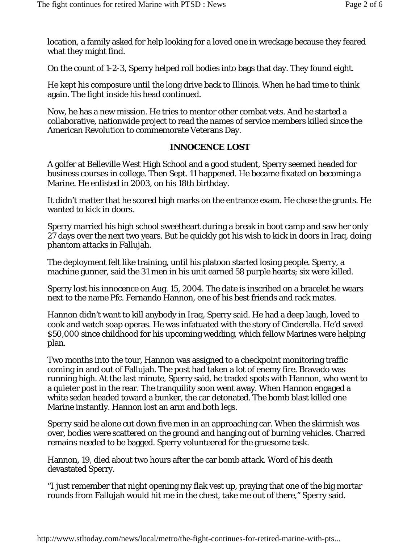location, a family asked for help looking for a loved one in wreckage because they feared what they might find.

On the count of 1-2-3, Sperry helped roll bodies into bags that day. They found eight.

He kept his composure until the long drive back to Illinois. When he had time to think again. The fight inside his head continued.

Now, he has a new mission. He tries to mentor other combat vets. And he started a collaborative, nationwide project to read the names of service members killed since the American Revolution to commemorate Veterans Day.

## **INNOCENCE LOST**

A golfer at Belleville West High School and a good student, Sperry seemed headed for business courses in college. Then Sept. 11 happened. He became fixated on becoming a Marine. He enlisted in 2003, on his 18th birthday.

It didn't matter that he scored high marks on the entrance exam. He chose the grunts. He wanted to kick in doors.

Sperry married his high school sweetheart during a break in boot camp and saw her only 27 days over the next two years. But he quickly got his wish to kick in doors in Iraq, doing phantom attacks in Fallujah.

The deployment felt like training, until his platoon started losing people. Sperry, a machine gunner, said the 31 men in his unit earned 58 purple hearts; six were killed.

Sperry lost his innocence on Aug. 15, 2004. The date is inscribed on a bracelet he wears next to the name Pfc. Fernando Hannon, one of his best friends and rack mates.

Hannon didn't want to kill anybody in Iraq, Sperry said. He had a deep laugh, loved to cook and watch soap operas. He was infatuated with the story of Cinderella. He'd saved \$50,000 since childhood for his upcoming wedding, which fellow Marines were helping plan.

Two months into the tour, Hannon was assigned to a checkpoint monitoring traffic coming in and out of Fallujah. The post had taken a lot of enemy fire. Bravado was running high. At the last minute, Sperry said, he traded spots with Hannon, who went to a quieter post in the rear. The tranquility soon went away. When Hannon engaged a white sedan headed toward a bunker, the car detonated. The bomb blast killed one Marine instantly. Hannon lost an arm and both legs.

Sperry said he alone cut down five men in an approaching car. When the skirmish was over, bodies were scattered on the ground and hanging out of burning vehicles. Charred remains needed to be bagged. Sperry volunteered for the gruesome task.

Hannon, 19, died about two hours after the car bomb attack. Word of his death devastated Sperry.

"I just remember that night opening my flak vest up, praying that one of the big mortar rounds from Fallujah would hit me in the chest, take me out of there," Sperry said.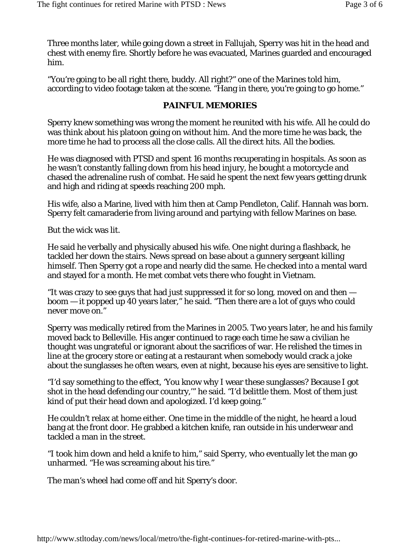Three months later, while going down a street in Fallujah, Sperry was hit in the head and chest with enemy fire. Shortly before he was evacuated, Marines guarded and encouraged him.

"You're going to be all right there, buddy. All right?" one of the Marines told him, according to video footage taken at the scene. "Hang in there, you're going to go home."

#### **PAINFUL MEMORIES**

Sperry knew something was wrong the moment he reunited with his wife. All he could do was think about his platoon going on without him. And the more time he was back, the more time he had to process all the close calls. All the direct hits. All the bodies.

He was diagnosed with PTSD and spent 16 months recuperating in hospitals. As soon as he wasn't constantly falling down from his head injury, he bought a motorcycle and chased the adrenaline rush of combat. He said he spent the next few years getting drunk and high and riding at speeds reaching 200 mph.

His wife, also a Marine, lived with him then at Camp Pendleton, Calif. Hannah was born. Sperry felt camaraderie from living around and partying with fellow Marines on base.

But the wick was lit.

He said he verbally and physically abused his wife. One night during a flashback, he tackled her down the stairs. News spread on base about a gunnery sergeant killing himself. Then Sperry got a rope and nearly did the same. He checked into a mental ward and stayed for a month. He met combat vets there who fought in Vietnam.

"It was crazy to see guys that had just suppressed it for so long, moved on and then boom — it popped up 40 years later," he said. "Then there are a lot of guys who could never move on."

Sperry was medically retired from the Marines in 2005. Two years later, he and his family moved back to Belleville. His anger continued to rage each time he saw a civilian he thought was ungrateful or ignorant about the sacrifices of war. He relished the times in line at the grocery store or eating at a restaurant when somebody would crack a joke about the sunglasses he often wears, even at night, because his eyes are sensitive to light.

"I'd say something to the effect, 'You know why I wear these sunglasses? Because I got shot in the head defending our country,'" he said. "I'd belittle them. Most of them just kind of put their head down and apologized. I'd keep going."

He couldn't relax at home either. One time in the middle of the night, he heard a loud bang at the front door. He grabbed a kitchen knife, ran outside in his underwear and tackled a man in the street.

"I took him down and held a knife to him," said Sperry, who eventually let the man go unharmed. "He was screaming about his tire."

The man's wheel had come off and hit Sperry's door.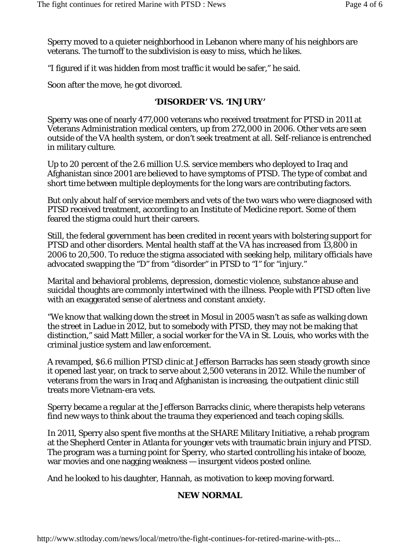Sperry moved to a quieter neighborhood in Lebanon where many of his neighbors are veterans. The turnoff to the subdivision is easy to miss, which he likes.

"I figured if it was hidden from most traffic it would be safer," he said.

Soon after the move, he got divorced.

## **'DISORDER' VS. 'INJURY'**

Sperry was one of nearly 477,000 veterans who received treatment for PTSD in 2011 at Veterans Administration medical centers, up from 272,000 in 2006. Other vets are seen outside of the VA health system, or don't seek treatment at all. Self-reliance is entrenched in military culture.

Up to 20 percent of the 2.6 million U.S. service members who deployed to Iraq and Afghanistan since 2001 are believed to have symptoms of PTSD. The type of combat and short time between multiple deployments for the long wars are contributing factors.

But only about half of service members and vets of the two wars who were diagnosed with PTSD received treatment, according to an Institute of Medicine report. Some of them feared the stigma could hurt their careers.

Still, the federal government has been credited in recent years with bolstering support for PTSD and other disorders. Mental health staff at the VA has increased from 13,800 in 2006 to 20,500. To reduce the stigma associated with seeking help, military officials have advocated swapping the "D" from "disorder" in PTSD to "I" for "injury."

Marital and behavioral problems, depression, domestic violence, substance abuse and suicidal thoughts are commonly intertwined with the illness. People with PTSD often live with an exaggerated sense of alertness and constant anxiety.

"We know that walking down the street in Mosul in 2005 wasn't as safe as walking down the street in Ladue in 2012, but to somebody with PTSD, they may not be making that distinction," said Matt Miller, a social worker for the VA in St. Louis, who works with the criminal justice system and law enforcement.

A revamped, \$6.6 million PTSD clinic at Jefferson Barracks has seen steady growth since it opened last year, on track to serve about 2,500 veterans in 2012. While the number of veterans from the wars in Iraq and Afghanistan is increasing, the outpatient clinic still treats more Vietnam-era vets.

Sperry became a regular at the Jefferson Barracks clinic, where therapists help veterans find new ways to think about the trauma they experienced and teach coping skills.

In 2011, Sperry also spent five months at the SHARE Military Initiative, a rehab program at the Shepherd Center in Atlanta for younger vets with traumatic brain injury and PTSD. The program was a turning point for Sperry, who started controlling his intake of booze, war movies and one nagging weakness — insurgent videos posted online.

And he looked to his daughter, Hannah, as motivation to keep moving forward.

## **NEW NORMAL**

http://www.stltoday.com/news/local/metro/the-fight-continues-for-retired-marine-with-pts...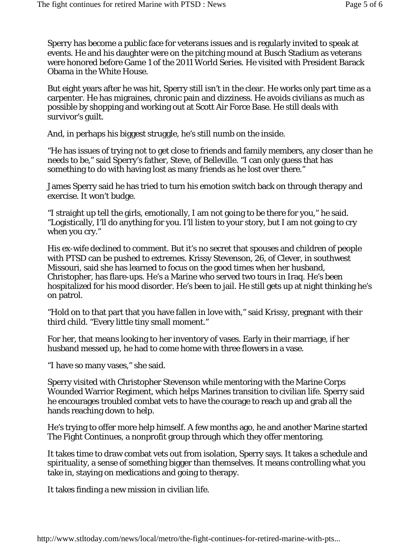Sperry has become a public face for veterans issues and is regularly invited to speak at events. He and his daughter were on the pitching mound at Busch Stadium as veterans were honored before Game 1 of the 2011 World Series. He visited with President Barack Obama in the White House.

But eight years after he was hit, Sperry still isn't in the clear. He works only part time as a carpenter. He has migraines, chronic pain and dizziness. He avoids civilians as much as possible by shopping and working out at Scott Air Force Base. He still deals with survivor's guilt.

And, in perhaps his biggest struggle, he's still numb on the inside.

"He has issues of trying not to get close to friends and family members, any closer than he needs to be," said Sperry's father, Steve, of Belleville. "I can only guess that has something to do with having lost as many friends as he lost over there."

James Sperry said he has tried to turn his emotion switch back on through therapy and exercise. It won't budge.

"I straight up tell the girls, emotionally, I am not going to be there for you," he said. "Logistically, I'll do anything for you. I'll listen to your story, but I am not going to cry when you cry."

His ex-wife declined to comment. But it's no secret that spouses and children of people with PTSD can be pushed to extremes. Krissy Stevenson, 26, of Clever, in southwest Missouri, said she has learned to focus on the good times when her husband, Christopher, has flare-ups. He's a Marine who served two tours in Iraq. He's been hospitalized for his mood disorder. He's been to jail. He still gets up at night thinking he's on patrol.

"Hold on to that part that you have fallen in love with," said Krissy, pregnant with their third child. "Every little tiny small moment."

For her, that means looking to her inventory of vases. Early in their marriage, if her husband messed up, he had to come home with three flowers in a vase.

"I have so many vases," she said.

Sperry visited with Christopher Stevenson while mentoring with the Marine Corps Wounded Warrior Regiment, which helps Marines transition to civilian life. Sperry said he encourages troubled combat vets to have the courage to reach up and grab all the hands reaching down to help.

He's trying to offer more help himself. A few months ago, he and another Marine started The Fight Continues, a nonprofit group through which they offer mentoring.

It takes time to draw combat vets out from isolation, Sperry says. It takes a schedule and spirituality, a sense of something bigger than themselves. It means controlling what you take in, staying on medications and going to therapy.

It takes finding a new mission in civilian life.